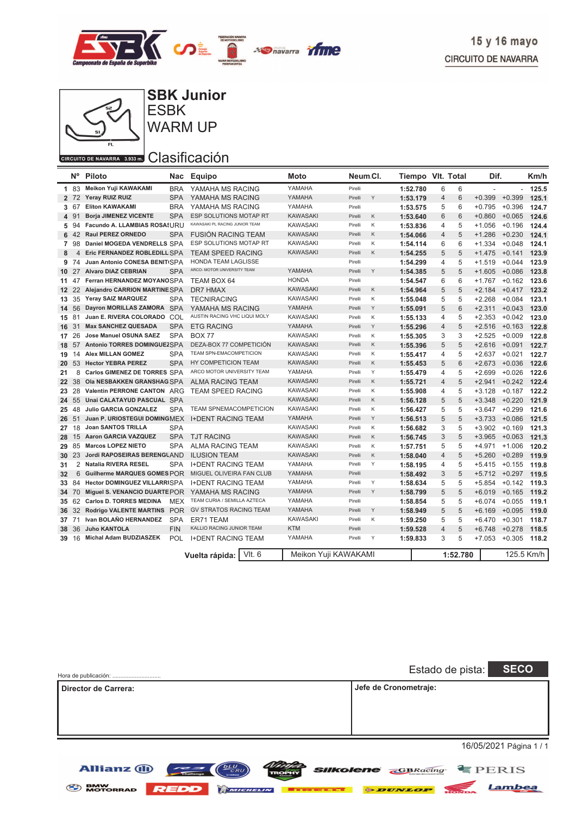



**SBK Junior**

**ESBK** WARM UP

#### CIRCUITO DE NAVARRA 3.933 m. Clasificación

Allianz (1)

|                 | N°    | Piloto<br>Nac                          |            | Equipo                         | Moto            | Neum Cl.             |          | Tiempo VIt. Total |          | Dif.                     |                 | Km/h  |
|-----------------|-------|----------------------------------------|------------|--------------------------------|-----------------|----------------------|----------|-------------------|----------|--------------------------|-----------------|-------|
|                 | 1 83  | Meikon Yuji KAWAKAMI                   | <b>BRA</b> | YAMAHA MS RACING               | YAMAHA          | Pirelli              | 1:52.780 | 6                 | 6        | $\overline{\phantom{a}}$ | L.              | 125.5 |
|                 | 2 72  | Yeray RUIZ RUIZ                        | <b>SPA</b> | YAMAHA MS RACING               | YAMAHA          | Υ<br>Pirelli         | 1:53.179 | 4                 | 6        | $+0.399$                 | $+0.399$        | 125.1 |
| 3               | -67   | <b>Eliton KAWAKAMI</b>                 | <b>BRA</b> | YAMAHA MS RACING               | YAMAHA          | Pirelli              | 1:53.575 | 5                 | 6        | $+0.795$                 | $+0.396$        | 124.7 |
| 4               | -91   | <b>Borja JIMENEZ VICENTE</b>           | <b>SPA</b> | ESP SOLUTIONS MOTAP RT         | <b>KAWASAKI</b> | Κ<br>Pirelli         | 1:53.640 | 6                 | 6        | $+0.860$                 | $+0.065$        | 124.6 |
| 5               | .94   | Facundo A. LLAMBIAS ROSASURU           |            | KAWASAKI PL RACING JUNIOR TEAM | <b>KAWASAKI</b> | Κ<br>Pirelli         | 1:53.836 | 4                 | 5        | $+1.056$                 | $+0.196$        | 124.4 |
| 6               | 42    | Raul PEREZ ORNEDO                      | <b>SPA</b> | <b>FUSION RACING TEAM</b>      | <b>KAWASAKI</b> | Pirelli<br>Κ         | 1:54.066 | $\overline{4}$    | 5        | $+1.286$                 | $+0.230$        | 124.1 |
| $\overline{7}$  | 98    | Daniel MOGEDA VENDRELLS SPA            |            | ESP SOLUTIONS MOTAP RT         | <b>KAWASAKI</b> | К<br>Pirelli         | 1:54.114 | 6                 | 6        | $+1.334$                 | $+0.048$        | 124.1 |
| 8               | 4     | Eric FERNANDEZ ROBLEDILL SPA           |            | <b>TEAM SPEED RACING</b>       | <b>KAWASAKI</b> | Κ<br>Pirelli         | 1:54.255 | 5                 | 5        | $+1.475$                 | $+0.141$        | 123.9 |
| 9               | 74    | Juan Antonio CONESA BENITISPA          |            | <b>HONDA TEAM LAGLISSE</b>     |                 | Pirelli              | 1:54.299 | $\overline{4}$    | 5        | $+1.519$                 | $+0.044$        | 123.9 |
| 10 <sup>1</sup> | 27    | <b>Alvaro DIAZ CEBRIAN</b>             | <b>SPA</b> | ARCO- MOTOR UNIVERSITY TEAM    | YAMAHA          | Υ<br>Pirelli         | 1:54.385 | 5                 | 5        | $+1.605$                 | $+0.086$        | 123.8 |
| 11              | 47    | Ferran HERNANDEZ MOYANOSPA             |            | TEAM BOX 64                    | <b>HONDA</b>    | Pirelli              | 1:54.547 | 6                 | 6        | $+1.767$                 | $+0.162$        | 123.6 |
| 12 <sup>1</sup> | 22    | Alejandro CARRION MARTINESPA           |            | DR7 HMAX                       | <b>KAWASAKI</b> | Κ<br>Pirelli         | 1:54.964 | 5                 | 5        | $+2.184$                 | $+0.417$        | 123.2 |
| 13              | 35    | Yeray SAIZ MARQUEZ                     | <b>SPA</b> | <b>TECNIRACING</b>             | <b>KAWASAKI</b> | Pirelli<br>Κ         | 1:55.048 | 5                 | 5        | $+2.268$                 | $+0.084$        | 123.1 |
| 14              | 56    | Dayron MORILLAS ZAMORA SPA             |            | YAMAHA MS RACING               | YAMAHA          | Υ<br>Pirelli         | 1:55.091 | 5                 | 6        | $+2.311$                 | $+0.043$        | 123.0 |
| 15              | 81    | Juan E. RIVERA COLORADO COL            |            | AUSTIN RACING VHC LIQUI MOLY   | <b>KAWASAKI</b> | Κ<br>Pirelli         | 1:55.133 | $\overline{4}$    | 5        | $+2.353$                 | $+0.042$        | 123.0 |
| 16              | 31    | <b>Max SANCHEZ QUESADA</b>             | <b>SPA</b> | <b>ETG RACING</b>              | YAMAHA          | Υ<br>Pirelli         | 1:55.296 | 4                 | 5        | $+2.516$                 | $+0.163$        | 122.8 |
| 17              | 26    | <b>Jose Manuel OSUNA SAEZ</b>          | <b>SPA</b> | <b>BOX 77</b>                  | <b>KAWASAKI</b> | Κ<br>Pirelli         | 1:55.305 | 3                 | 3        | $+2.525$                 | $+0.009$        | 122.8 |
| 18 57           |       | Antonio TORRES DOMINGUEZSPA            |            | DEZA-BOX 77 COMPETICIÓN        | <b>KAWASAKI</b> | Κ<br>Pirelli         | 1:55.396 | 5                 | 5        | $+2.616$                 | $+0.091$        | 122.7 |
| 19              | 14    | <b>Alex MILLAN GOMEZ</b><br><b>SPA</b> |            | TEAM SPN-EMACOMPETICION        | <b>KAWASAKI</b> | K<br>Pirelli         | 1:55.417 | 4                 | 5        | $+2.637$                 | $+0.021$        | 122.7 |
| 20              | 53    | <b>Hector YEBRA PEREZ</b>              | <b>SPA</b> | HY COMPETICION TEAM            | <b>KAWASAKI</b> | Κ<br>Pirelli         | 1:55.453 | 5                 | 6        | $+2.673$                 | $+0.036$        | 122.6 |
| 21              | 8     | Carlos GIMENEZ DE TORRES SPA           |            | ARCO MOTOR UNIVERSITY TEAM     | YAMAHA          | Υ<br>Pirelli         | 1:55.479 | $\overline{4}$    | 5        | $+2.699$                 | $+0.026$        | 122.6 |
| 22              | 38    | OIA NESBAKKEN GRANSHAG SPA             |            | <b>ALMA RACING TEAM</b>        | <b>KAWASAKI</b> | Pirelli<br>K         | 1:55.721 | $\overline{4}$    | 5        | $+2.941$                 | $+0.242$        | 122.4 |
| 23              | 28    | Valentin PERRONE CANTON ARG            |            | <b>TEAM SPEED RACING</b>       | <b>KAWASAKI</b> | Κ<br>Pirelli         | 1:55.908 | 4                 | 5        | $+3.128$                 | $+0.187$        | 122.2 |
| 24              | 55    | Unai CALATAYUD PASCUAL SPA             |            |                                | <b>KAWASAKI</b> | Κ<br>Pirelli         | 1:56.128 | 5                 | 5        | $+3.348$                 | $+0.220$        | 121.9 |
| 25              | 48    | <b>Julio GARCIA GONZALEZ</b>           | <b>SPA</b> | <b>TEAM SPNEMACOMPETICION</b>  | <b>KAWASAKI</b> | Κ<br>Pirelli         | 1:56.427 | 5                 | 5        | $+3.647$                 | $+0.299$        | 121.6 |
| 26 51           |       | Juan P. URIOSTEGUI DOMINGMEX           |            | <b>I+DENT RACING TEAM</b>      | YAMAHA          | Y<br>Pirelli         | 1:56.513 | 5                 | 5        | $+3.733$                 | $+0.086$        | 121.5 |
| 27              | 18    | <b>Joan SANTOS TRILLA</b>              | <b>SPA</b> |                                | <b>KAWASAKI</b> | Κ<br>Pirelli         | 1:56.682 | 3                 | 5        | $+3.902$                 | $+0.169$        | 121.3 |
| 28              | 15    | <b>Aaron GARCIA VAZQUEZ</b>            | <b>SPA</b> | <b>TJT RACING</b>              | <b>KAWASAKI</b> | K<br>Pirelli         | 1:56.745 | 3                 | 5        | $+3.965$                 | $+0.063$        | 121.3 |
| 29              | 85    | <b>Marcos LOPEZ NIETO</b>              | <b>SPA</b> | <b>ALMA RACING TEAM</b>        | <b>KAWASAKI</b> | K<br>Pirelli         | 1:57.751 | 5                 | 5        | $+4.971$                 | $+1.006$        | 120.2 |
| 30              | 23    | Jordi RAPOSEIRAS BERENGUAND            |            | <b>ILUSION TEAM</b>            | <b>KAWASAKI</b> | Κ<br>Pirelli         | 1:58.040 | 4                 | 5        | $+5.260$                 | $+0.289$        | 119.9 |
| 31              | 2     | <b>Natalia RIVERA RESEL</b>            | <b>SPA</b> | <b>I+DENT RACING TEAM</b>      | YAMAHA          | Y<br>Pirelli         | 1:58.195 | 4                 | 5        | $+5.415$                 | $+0.155$        | 119.8 |
| 32              | 6     | Guilherme MARQUES GOMES POR            |            | MIGUEL OLIVEIRA FAN CLUB       | YAMAHA          | Pirelli              | 1:58.492 | 3                 | 5        |                          | $+5.712 +0.297$ | 119.5 |
| 33              | 84    | <b>Hector DOMINGUEZ VILLARRISPA</b>    |            | <b>I+DENT RACING TEAM</b>      | YAMAHA          | Υ<br>Pirelli         | 1:58.634 | 5                 | 5        | $+5.854$                 | $+0.142$        | 119.3 |
|                 | 34 70 | Miguel S. VENANCIO DUARTE POR          |            | YAMAHA MS RACING               | YAMAHA          | Υ<br>Pirelli         | 1:58.799 | 5                 | 5        | $+6.019$                 | $+0.165$        | 119.2 |
|                 | 35 62 | <b>Carlos D. TORRES MEDINA</b>         | <b>MEX</b> | TEAM CURIA / SEMILLA AZTECA    | YAMAHA          | Pirelli              | 1:58.854 | 5                 | 5        | $+6.074$                 | $+0.055$        | 119.1 |
| 36              | 32    | <b>Rodrigo VALENTE MARTINS</b>         | <b>POR</b> | <b>GV STRATOS RACING TEAM</b>  | YAMAHA          | Y<br>Pirelli         | 1:58.949 | 5                 | 5        | $+6.169$                 | $+0.095$        | 119.0 |
| 37 71           |       | Ivan BOLAÑO HERNANDEZ                  | <b>SPA</b> | ER71 TEAM                      | <b>KAWASAKI</b> | Pirelli<br>Κ         | 1:59.250 | 5                 | 5        | $+6.470$                 | $+0.301$        | 118.7 |
| 38              | 36    | <b>Juho KANTOLA</b>                    | <b>FIN</b> | KALLIO RACING JUNIOR TEAM      | <b>KTM</b>      | Pirelli              | 1:59.528 | 4                 | 5        | $+6.748$                 | $+0.278$        | 118.5 |
|                 | 39 16 | Michal Adam BUDZIASZEK                 | <b>POL</b> | <b>I+DENT RACING TEAM</b>      | YAMAHA          | Y<br>Pirelli         | 1:59.833 | 3                 | 5        | $+7.053$                 | $+0.305$        | 118.2 |
|                 |       |                                        |            | VIt. 6<br>Vuelta rápida:       |                 | Meikon Yuji KAWAKAMI |          |                   | 1:52.780 |                          | 125.5 Km/h      |       |

| Hora de publicación: | <b>SECO</b><br>Estado de pista: |
|----------------------|---------------------------------|
| Director de Carrera: | Jefe de Cronometraje:           |
|                      | 16/05/2021 Página 1 / 1         |

BMW MOTORRAD REDD **EMICHELIN Expenses ODUNLOP** 

*NUMB* **SIIKOlene** *CBRacing* **E** PERIS

Lambea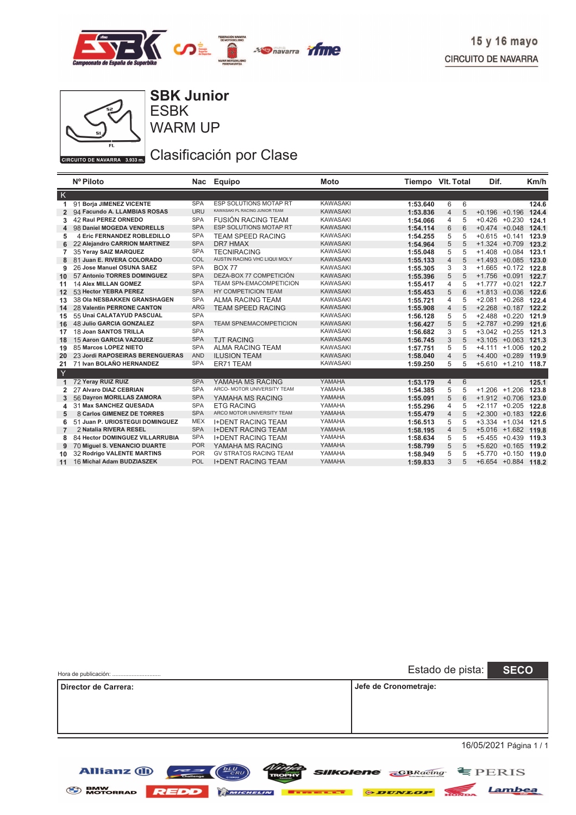



ESBK **SBK Junior**

WARM UP

# Clasificación por Clase

|                | Nº Piloto                       | Nac        | Equipo                         | <b>Moto</b>     | Tiempo VIt. Total |                |   | Dif.             |                       | Km/h  |
|----------------|---------------------------------|------------|--------------------------------|-----------------|-------------------|----------------|---|------------------|-----------------------|-------|
| $\mathsf{K}$   |                                 |            |                                |                 |                   |                |   |                  |                       |       |
| 1              | 91 Borja JIMENEZ VICENTE        | <b>SPA</b> | <b>ESP SOLUTIONS MOTAP RT</b>  | <b>KAWASAKI</b> | 1:53.640          | 6              | 6 |                  |                       | 124.6 |
| $\overline{2}$ | 94 Facundo A. LLAMBIAS ROSAS    | <b>URU</b> | KAWASAKI PL RACING JUNIOR TEAM | <b>KAWASAKI</b> | 1:53.836          | $\overline{4}$ | 5 | $+0.196$         | $+0.196$              | 124.4 |
| 3              | 42 Raul PEREZ ORNEDO            | <b>SPA</b> | FUSIÓN RACING TEAM             | <b>KAWASAKI</b> | 1:54.066          | 4              | 5 |                  | $+0.426 +0.230$       | 124.1 |
| 4              | 98 Daniel MOGEDA VENDRELLS      | <b>SPA</b> | ESP SOLUTIONS MOTAP RT         | <b>KAWASAKI</b> | 1:54.114          | 6              | 6 |                  | $+0.474 +0.048$       | 124.1 |
| 5              | 4 Eric FERNANDEZ ROBLEDILLO     | <b>SPA</b> | <b>TEAM SPEED RACING</b>       | <b>KAWASAKI</b> | 1:54.255          | 5              | 5 | $+0.615 +0.141$  |                       | 123.9 |
| 6              | 22 Alejandro CARRION MARTINEZ   | <b>SPA</b> | <b>DR7 HMAX</b>                | <b>KAWASAKI</b> | 1:54.964          | 5              | 5 |                  | $+1.324 +0.709$       | 123.2 |
| 7              | 35 Yeray SAIZ MARQUEZ           | <b>SPA</b> | <b>TECNIRACING</b>             | <b>KAWASAKI</b> | 1:55.048          | 5              | 5 |                  | $+1.408 + 0.084$      | 123.1 |
| 8              | 81 Juan E. RIVERA COLORADO      | COL        | AUSTIN RACING VHC LIQUI MOLY   | <b>KAWASAKI</b> | 1:55.133          | $\overline{4}$ | 5 |                  | $+1.493 + 0.085$      | 123.0 |
| 9              | 26 Jose Manuel OSUNA SAEZ       | <b>SPA</b> | <b>BOX 77</b>                  | <b>KAWASAKI</b> | 1:55.305          | 3              | 3 |                  | $+1.665 +0.172$       | 122.8 |
| 10             | 57 Antonio TORRES DOMINGUEZ     | <b>SPA</b> | DEZA-BOX 77 COMPETICIÓN        | <b>KAWASAKI</b> | 1:55.396          | 5              | 5 |                  | $+1.756 + 0.091$      | 122.7 |
| 11             | <b>14 Alex MILLAN GOMEZ</b>     | <b>SPA</b> | <b>TEAM SPN-EMACOMPETICION</b> | <b>KAWASAKI</b> | 1:55.417          | 4              | 5 | $+1.777 + 0.021$ |                       | 122.7 |
| 12             | 53 Hector YEBRA PEREZ           | <b>SPA</b> | HY COMPETICION TEAM            | <b>KAWASAKI</b> | 1:55.453          | 5              | 6 |                  | $+1.813 + 0.036$      | 122.6 |
| 13             | 38 Ola NESBAKKEN GRANSHAGEN     | <b>SPA</b> | <b>ALMA RACING TEAM</b>        | <b>KAWASAKI</b> | 1:55.721          | 4              | 5 | $+2.081$         | $+0.268$              | 122.4 |
| 14             | 28 Valentin PERRONE CANTON      | <b>ARG</b> | <b>TEAM SPEED RACING</b>       | <b>KAWASAKI</b> | 1:55.908          | $\overline{4}$ | 5 |                  | $+2.268 + 0.187$      | 122.2 |
| 15             | 55 Unai CALATAYUD PASCUAL       | <b>SPA</b> |                                | <b>KAWASAKI</b> | 1:56.128          | 5              | 5 | $+2.488$         | $+0.220$              | 121.9 |
| 16             | <b>48 Julio GARCIA GONZALEZ</b> | <b>SPA</b> | <b>TEAM SPNEMACOMPETICION</b>  | <b>KAWASAKI</b> | 1:56.427          | 5              | 5 |                  | $+2.787 +0.299$       | 121.6 |
| 17             | 18 Joan SANTOS TRILLA           | <b>SPA</b> |                                | <b>KAWASAKI</b> | 1:56.682          | 3              | 5 |                  | $+3.042 +0.255$       | 121.3 |
| 18             | 15 Aaron GARCIA VAZQUEZ         | <b>SPA</b> | <b>TJT RACING</b>              | <b>KAWASAKI</b> | 1:56.745          | 3              | 5 |                  | $+3.105 + 0.063$      | 121.3 |
| 19             | 85 Marcos LOPEZ NIETO           | <b>SPA</b> | <b>ALMA RACING TEAM</b>        | <b>KAWASAKI</b> | 1:57.751          | 5              | 5 | $+4.111$         | $+1.006$              | 120.2 |
| 20             | 23 Jordi RAPOSEIRAS BERENGUERAS | <b>AND</b> | <b>ILUSION TEAM</b>            | <b>KAWASAKI</b> | 1:58.040          | $\overline{4}$ | 5 |                  | $+4.400 +0.289$       | 119.9 |
| 21             | 71 Ivan BOLAÑO HERNANDEZ        | <b>SPA</b> | ER71 TEAM                      | <b>KAWASAKI</b> | 1:59.250          | 5              | 5 |                  | +5.610 +1.210 118.7   |       |
| Y              |                                 |            |                                |                 |                   |                |   |                  |                       |       |
| $\mathbf{1}$   | 72 Yeray RUIZ RUIZ              | <b>SPA</b> | YAMAHA MS RACING               | YAMAHA          | 1:53.179          | $\overline{4}$ | 6 |                  |                       | 125.1 |
| 2              | 27 Alvaro DIAZ CEBRIAN          | <b>SPA</b> | ARCO- MOTOR UNIVERSITY TEAM    | YAMAHA          | 1:54.385          | 5              | 5 |                  | $+1.206 + 1.206$      | 123.8 |
| 3              | 56 Dayron MORILLAS ZAMORA       | <b>SPA</b> | YAMAHA MS RACING               | YAMAHA          | 1:55.091          | 5              | 6 |                  | $+1.912 + 0.706$      | 123.0 |
| 4              | 31 Max SANCHEZ QUESADA          | <b>SPA</b> | <b>ETG RACING</b>              | YAMAHA          | 1:55.296          | 4              | 5 |                  | $+2.117 + 0.205$      | 122.8 |
| 5              | 8 Carlos GIMENEZ DE TORRES      | <b>SPA</b> | ARCO MOTOR UNIVERSITY TEAM     | YAMAHA          | 1:55.479          | $\overline{4}$ | 5 |                  | $+2.300 + 0.183$      | 122.6 |
| 6              | 51 Juan P. URIOSTEGUI DOMINGUEZ | <b>MEX</b> | <b>I+DENT RACING TEAM</b>      | YAMAHA          | 1:56.513          | 5              | 5 |                  | $+3.334 + 1.034$      | 121.5 |
| $\overline{7}$ | 2 Natalia RIVERA RESEL          | <b>SPA</b> | <b>I+DENT RACING TEAM</b>      | YAMAHA          | 1:58.195          | $\overline{4}$ | 5 |                  | +5.016 +1.682 119.8   |       |
| 8              | 84 Hector DOMINGUEZ VILLARRUBIA | <b>SPA</b> | <b>I+DENT RACING TEAM</b>      | YAMAHA          | 1:58.634          | 5              | 5 |                  | $+5.455 + 0.439$      | 119.3 |
| 9              | 70 Miguel S. VENANCIO DUARTE    | <b>POR</b> | YAMAHA MS RACING               | YAMAHA          | 1:58.799          | 5              | 5 |                  | $+5.620 +0.165$ 119.2 |       |
| 10             | 32 Rodrigo VALENTE MARTINS      | <b>POR</b> | <b>GV STRATOS RACING TEAM</b>  | YAMAHA          | 1:58.949          | 5              | 5 |                  | $+5.770 +0.150$       | 119.0 |
| 11             | 16 Michal Adam BUDZIASZEK       | <b>POL</b> | <b>I+DENT RACING TEAM</b>      | YAMAHA          | 1:59.833          | 3              | 5 |                  | +6.654 +0.884 118.2   |       |
|                |                                 |            |                                |                 |                   |                |   |                  |                       |       |

| Hora de publicación:        | Estado de pista: SECO |  |
|-----------------------------|-----------------------|--|
| <b>Director de Carrera:</b> | Jefe de Cronometraje: |  |
|                             |                       |  |
|                             |                       |  |
|                             | 16/05/2021 Página 1/1 |  |

16/05/2021 Página 1 / 1

Lambea



Allianz 1



 $L_U$  $(RU)$ 

 $\overline{\phantom{a}}$   $\overline{\phantom{a}}$   $\overline{\phantom{a}}$   $\overline{\phantom{a}}$   $\overline{\phantom{a}}$   $\overline{\phantom{a}}$   $\overline{\phantom{a}}$   $\overline{\phantom{a}}$   $\overline{\phantom{a}}$   $\overline{\phantom{a}}$   $\overline{\phantom{a}}$   $\overline{\phantom{a}}$   $\overline{\phantom{a}}$   $\overline{\phantom{a}}$   $\overline{\phantom{a}}$   $\overline{\phantom{a}}$   $\overline{\phantom{a}}$   $\overline{\phantom{a}}$   $\overline{\$ 

*Ninte* **SIIKolene GBRacing E** PERIS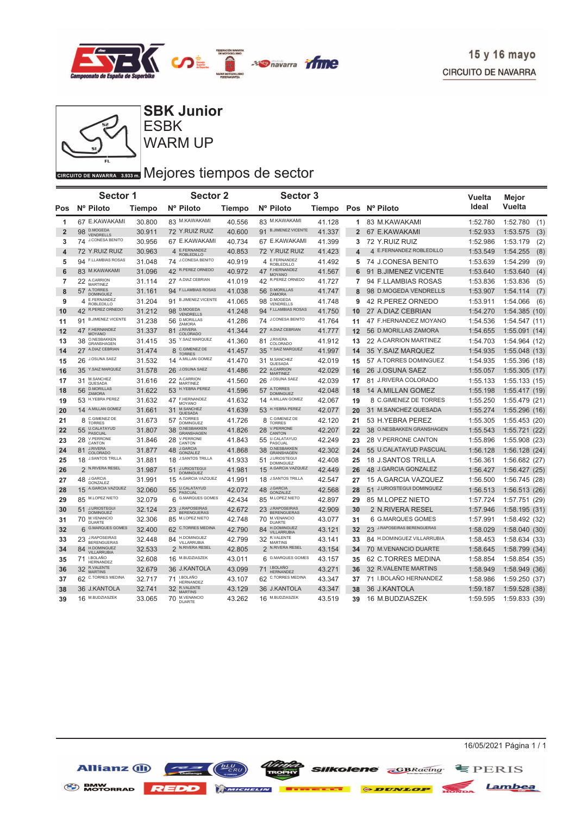



### ESBK **SBK Junior**

WARM UP

# GIRCUITO DE NAVARRA 3.933 DI Mejores tiempos de sector

|                | Sector 1                                      |               | <b>Sector 2</b>                               |               | <b>Sector 3</b>                         |        |                |                             | Vuelta   | Mejor            |
|----------------|-----------------------------------------------|---------------|-----------------------------------------------|---------------|-----------------------------------------|--------|----------------|-----------------------------|----------|------------------|
| Pos            | Nº Piloto                                     | <b>Tiempo</b> | Nº Piloto                                     | <b>Tiempo</b> | Nº Piloto                               |        |                | Tiempo Pos Nº Piloto        | Ideal    | <b>Vuelta</b>    |
| 1              | 67 E.KAWAKAMI                                 | 30.800        | 83 M.KAWAKAMI                                 | 40.556        | 83 M.KAWAKAMI                           | 41.128 |                | 1 83 M.KAWAKAMI             | 1:52.780 | 1:52.780<br>(1)  |
| $\overline{2}$ | 98 D.MOGEDA<br>VENDRELLS                      | 30.911        | 72 Y.RUIZ RUIZ                                | 40.600        | 91 BJIMENEZ VICENTE                     | 41.337 | $\overline{2}$ | 67 E.KAWAKAMI               | 1:52.933 | 1:53.575<br>(3)  |
| 3              | 74 J.CONESA BENITO                            | 30.956        | 67 E.KAWAKAMI                                 | 40.734        | 67 E.KAWAKAMI                           | 41.399 | 3              | 72 Y.RUIZ RUIZ              | 1:52.986 | 1:53.179<br>(2)  |
| 4              | 72 Y.RUIZ RUIZ                                | 30.963        | E.FERNANDEZ<br>4<br><b>ROBLEDILLO</b>         | 40.853        | 72 Y.RUIZ RUIZ                          | 41.423 | 4              | 4 E.FERNANDEZ ROBLEDILLO    | 1:53.549 | (8)<br>1:54.255  |
| 5              | 94 F.LLAMBIAS ROSAS                           | 31.048        | 74 J.CONESA BENITO                            | 40.919        | E.FERNANDEZ<br>4<br><b>ROBLEDILLO</b>   | 41.492 |                | 5 74 J.CONESA BENITO        | 1:53.639 | 1:54.299<br>(9)  |
| $6\phantom{1}$ | 83 M.KAWAKAMI                                 | 31.096        | 42 R.PEREZ ORNEDO                             | 40.972        | 47 F.HERNANDEZ<br>MOYANO                | 41.567 | 6              | 91 B.JIMENEZ VICENTE        | 1:53.640 | 1:53.640<br>(4)  |
| 7              | 22 A.CARRION<br>MARTINEZ                      | 31.114        | 27 A.DIAZ CEBRIAN                             | 41.019        | 42 R.PEREZ ORNEDO                       | 41.727 | $\overline{7}$ | 94 F.LLAMBIAS ROSAS         | 1:53.836 | 1:53.836<br>(5)  |
| 8              | 57 A.TORRES<br><b>DOMINGUEZ</b>               | 31.161        | 94 F.LLAMBIAS ROSAS                           | 41.038        | 56 D.MORILLAS<br><b>ZAMORA</b>          | 41.747 | 8              | 98 D.MOGEDA VENDRELLS       | 1:53.907 | 1:54.114<br>(7)  |
| 9              | 4 E.FERNANDEZ<br>ROBLEDILLO                   | 31.204        | 91 B.JIMENEZ VICENTE                          | 41.065        | <b>D.MOGEDA</b><br>98<br>VENDRELLS      | 41.748 | 9              | 42 R.PEREZ ORNEDO           | 1:53.911 | 1:54.066<br>(6)  |
| 10             | R.PEREZ ORNEDO<br>42                          | 31.212        | 98 D.MOGEDA<br><b>VENDRELLS</b>               | 41.248        | 94 F.LLAMBIAS ROSAS                     | 41.750 | 10             | 27 A.DIAZ CEBRIAN           | 1:54.270 | 1:54.385<br>(10) |
| 11             | <b>B.JIMENEZ VICENTE</b><br>91                | 31.238        | 56 D.MORILLAS<br>ZAMORA                       | 41.286        | 74 J.CONESA BENITO                      | 41.764 | 11             | 47 F.HERNANDEZ MOYANO       | 1:54.536 | 1:54.547(11)     |
| 12             | 47 F.HERNANDEZ<br><b>MOYANO</b>               | 31.337        | J.RIVERA<br>81<br>COLORADO                    | 41.344        | 27 A.DIAZ CEBRIAN                       | 41.777 | 12             | 56 D.MORILLAS ZAMORA        | 1:54.655 | 1:55.091(14)     |
| 13             | O.NESBAKKEN<br>38<br>GRANSHAGEN               | 31.415        | 35 Y.SAIZ MARQUEZ                             | 41.360        | <b>J.RIVERA</b><br>81<br>COLORADO       | 41.912 | 13             | 22 A.CARRION MARTINEZ       | 1:54.703 | 1:54.964 (12)    |
| 14             | 27 A.DIAZ CEBRIAN                             | 31.474        | C.GIMENEZ DE<br>8<br><b>TORRES</b>            | 41.457        | Y.SAIZ MARQUEZ<br>35                    | 41.997 | 14             | 35 Y.SAIZ MARQUEZ           | 1:54.935 | 1:55.048(13)     |
| 15             | 26 J.OSUNA SAEZ                               | 31.532        | 14 A.MILLAN GOMEZ                             | 41.470        | M.SANCHEZ<br>31<br>QUESADA              | 42.019 | 15             | 57 A.TORRES DOMINGUEZ       | 1:54.935 | 1:55.396 (18)    |
| 16             | 35 Y.SAIZ MARQUEZ                             | 31.578        | 26 J.OSUNA SAEZ                               | 41.486        | 22 A.CARRION<br>MARTINEZ                | 42.029 | 16             | 26 J.OSUNA SAEZ             | 1:55.057 | 1:55.305(17)     |
| 17             | M.SANCHEZ<br>31<br>QUESADA                    | 31.616        | 22 A.CARRION<br><b>MARTINEZ</b>               | 41.560        | 26 J.OSUNA SAEZ                         | 42.039 | 17             | 81 J.RIVERA COLORADO        | 1:55.133 | 1:55.133(15)     |
| 18             | 56 D.MORILLAS<br>ZAMORA                       | 31.622        | 53 H.YEBRA PEREZ                              | 41.596        | 57 A.TORRES<br><b>DOMINGUEZ</b>         | 42.048 | 18             | 14 A.MILLAN GOMEZ           | 1:55.198 | 1:55.417(19)     |
| 19             | 53 H.YEBRA PEREZ                              | 31.632        | 47 F.HERNANDEZ<br>MOYANO                      | 41.632        | 14 A.MILLAN GOMEZ                       | 42.067 | 19             | 8 C.GIMENEZ DE TORRES       | 1:55.250 | 1:55.479(21)     |
| 20             | 14 A.MILLAN GOMEZ                             | 31.661        | M.SANCHEZ<br>31<br>QUESADA                    | 41.639        | 53 H.YEBRA PEREZ                        | 42.077 | 20             | 31 M.SANCHEZ QUESADA        | 1:55.274 | 1:55.296<br>(16) |
| 21             | 8 C.GIMENEZ DE<br><b>TORRES</b>               | 31.673        | A.TORRES<br>57<br><b>DOMINGUEZ</b>            | 41.726        | 8 C.GIMENEZ DE<br><b>TORRES</b>         | 42.120 | 21             | 53 H.YEBRA PEREZ            | 1:55.305 | 1:55.453 (20)    |
| 22             | 55 U.CALATAYUD<br><b>PASCUAL</b>              | 31.807        | <b>O.NESBAKKEN</b><br>38<br><b>GRANSHAGEN</b> | 41.826        | <b>V.PERRONE</b><br>28<br>CANTON        | 42.207 | 22             | 38 O.NESBAKKEN GRANSHAGEN   | 1:55.543 | 1:55.721(22)     |
| 23             | 28 V.PERRONE<br>CANTON                        | 31.846        | 28 V.PERRONE<br>CANTON                        | 41.843        | U.CALATAYUD<br>55<br>PASCUAL            | 42.249 | 23             | 28 V.PERRONE CANTON         | 1:55.896 | 1:55.908(23)     |
| 24             | J.RIVERA<br>81<br>COLORADO                    | 31.877        | <b>J.GARCIA</b><br>48<br>GONZALEZ             | 41.868        | O.NESBAKKEN<br>38<br><b>GRANSHAGEN</b>  | 42.302 | 24             | 55 U.CALATAYUD PASCUAL      | 1:56.128 | 1:56.128(24)     |
| 25             | 18 J.SANTOS TRILLA                            | 31.881        | <b>J.SANTOS TRILLA</b><br>18                  | 41.933        | <b>J.URIOSTEGUI</b><br>51<br>DOMINGUEZ  | 42.408 | 25             | <b>18 J.SANTOS TRILLA</b>   | 1:56.361 | 1:56.682(27)     |
| 26             | 2 N.RIVERA RESEL                              | 31.987        | <b>J.URIOSTEGUI</b><br>51<br><b>DOMINGUEZ</b> | 41.981        | 15 A.GARCIA VAZQUEZ                     | 42.449 | 26             | 48 J.GARCIA GONZALEZ        | 1:56.427 | 1:56.427(25)     |
| 27             | 48 J.GARCIA<br>GONZALEZ                       | 31.991        | A.GARCIA VAZQUEZ<br>15                        | 41.991        | 18 J.SANTOS TRILLA                      | 42.547 | 27             | 15 A.GARCIA VAZQUEZ         | 1:56.500 | 1:56.745(28)     |
| 28             | 15 A.GARCIA VAZQUEZ                           | 32.060        | 55 U.CALATAYUD<br>PASCUAL                     | 42.072        | 48 J.GARCIA<br><b>GONZALEZ</b>          | 42.568 | 28             | 51 J.URIOSTEGUI DOMINGUEZ   | 1:56.513 | 1:56.513(26)     |
| 29             | 85 M.LOPEZ NIETO                              | 32.079        | <b>G.MARQUES GOMES</b><br>6                   | 42.434        | M.LOPEZ NIETO<br>85                     | 42.897 | 29             | 85 M.LOPEZ NIETO            | 1:57.724 | 1:57.751 (29)    |
| 30             | <b>J.URIOSTEGUI</b><br>51<br><b>DOMINGUEZ</b> | 32.124        | 23 J.RAPOSEIRAS<br><b>BERENGUERAS</b>         | 42.672        | 23 J.RAPOSEIRAS<br><b>BERENGUERAS</b>   | 42.909 | 30             | 2 N.RIVERA RESEL            | 1:57.946 | 1:58.195(31)     |
| 31             | 70 M.VENANCIO<br><b>DUARTE</b>                | 32.306        | 85 M.LOPEZ NIETO                              | 42.748        | M.VENANCIO<br>70<br><b>DUARTE</b>       | 43.077 | 31             | 6 G.MARQUES GOMES           | 1:57.991 | 1:58.492 (32)    |
| 32             | 6 G.MARQUES GOMES                             | 32.400        | 62 C.TORRES MEDINA                            | 42.790        | H.DOMINGUEZ<br>84<br><b>VILLARRUBIA</b> | 43.121 | 32             | 23 J.RAPOSEIRAS BERENGUERAS | 1:58.029 | 1:58.040 (30)    |
| 33             | 23 J.RAPOSEIRAS<br><b>BERENGUERAS</b>         | 32.448        | 84 H.DOMINGUEZ<br>VILLARRUBIA                 | 42.799        | 32 R.VALENTE<br><b>MARTINS</b>          | 43.141 | 33             | 84 H.DOMINGUEZ VILLARRUBIA  | 1:58.453 | 1:58.634(33)     |
| 34             | 84 H.DOMINGUEZ<br><b>VILLARRUBIA</b>          | 32.533        | 2 N.RIVERA RESEL                              | 42.805        | 2 N.RIVERA RESEL                        | 43.154 | 34             | 70 M.VENANCIO DUARTE        | 1:58.645 | 1:58.799 (34)    |
| 35             | I.BOLAÑO<br>71<br>HERNANDEZ                   | 32.608        | 16 M.BUDZIASZEK                               | 43.011        | 6 G.MARQUES GOMES                       | 43.157 | 35             | 62 C.TORRES MEDINA          | 1:58.854 | 1:58.854(35)     |
| 36             | 32 R.VALENTE<br><b>MARTINS</b>                | 32.679        | 36 J.KANTOLA                                  | 43.099        | 71 I.BOLAÑO<br><b>HERNANDEZ</b>         | 43.271 | 36             | 32 R.VALENTE MARTINS        | 1:58.949 | 1:58.949(36)     |
| 37             | 62 C.TORRES MEDINA                            | 32.717        | <b>I.BOLAÑO</b><br>71<br>HERNANDEZ            | 43.107        | 62 C.TORRES MEDINA                      | 43.347 | 37             | 71 I.BOLAÑO HERNANDEZ       | 1:58.986 | 1:59.250(37)     |
| 38             | 36 J.KANTOLA                                  | 32.741        | 32 R.VALENTE<br><b>MARTINS</b>                | 43.129        | 36 J.KANTOLA                            | 43.347 | 38             | 36 J.KANTOLA                | 1:59.187 | 1:59.528<br>(38) |
| 39             | 16 M.BUDZIASZEK                               | 33.065        | 70 M.VENANCIO<br><b>DUARTE</b>                | 43.262        | 16 M.BUDZIASZEK                         | 43.519 | 39             | 16 M.BUDZIASZEK             | 1:59.595 | 1:59.833 (39)    |

**SENW MOTORRAD REDD Extends 6 DUNLOP** 



Lambea

**SIIKOlene GBRacing** EPERIS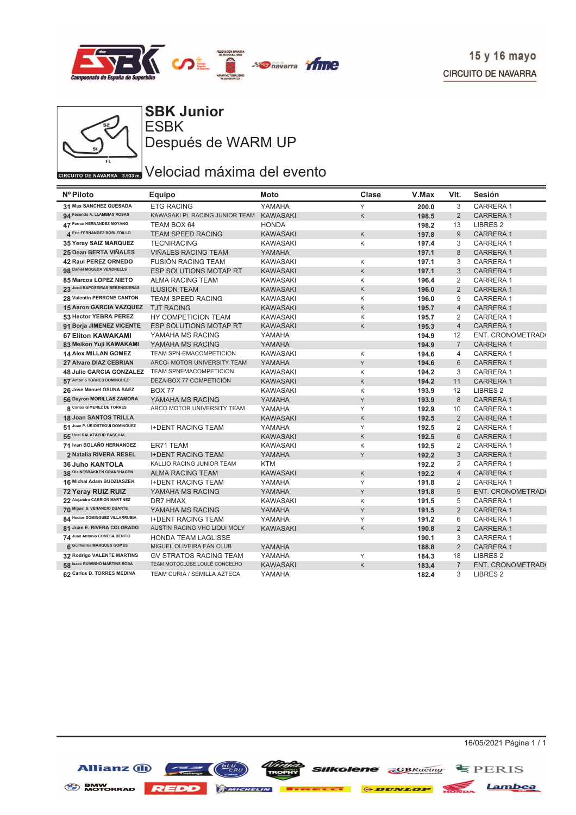



**ESBK SBK Junior** Después de WARM UP

# $\overline{C_{\text{CIRCUITO DE NAVARRA} \rightarrow 3933 m}}$ Velociad máxima del evento

| Nº Piloto                       | <b>Equipo</b>                  | Moto            | Clase | V.Max | VIt.           | Sesión              |
|---------------------------------|--------------------------------|-----------------|-------|-------|----------------|---------------------|
| 31 Max SANCHEZ QUESADA          | <b>ETG RACING</b>              | YAMAHA          | Y     | 200.0 | 3              | CARRERA 1           |
| 94 Facundo A. LLAMBIAS ROSAS    | KAWASAKI PL RACING JUNIOR TEAM | <b>KAWASAKI</b> | K     | 198.5 | 2              | <b>CARRERA1</b>     |
| 47 Ferran HERNANDEZ MOYANO      | TEAM BOX 64                    | <b>HONDA</b>    |       | 198.2 | 13             | <b>LIBRES 2</b>     |
| 4 Eric FERNANDEZ ROBLEDILLO     | TEAM SPEED RACING              | <b>KAWASAKI</b> | K     | 197.8 | 9              | <b>CARRERA1</b>     |
| 35 Yeray SAIZ MARQUEZ           | <b>TECNIRACING</b>             | <b>KAWASAKI</b> | Κ     | 197.4 | 3              | CARRERA 1           |
| 25 Dean BERTA VIÑALES           | <b>VIÑALES RACING TEAM</b>     | YAMAHA          |       | 197.1 | 8              | <b>CARRERA1</b>     |
| 42 Raul PEREZ ORNEDO            | <b>FUSIÓN RACING TEAM</b>      | <b>KAWASAKI</b> | Κ     | 197.1 | 3              | CARRERA 1           |
| 98 Daniel MOGEDA VENDRELLS      | <b>ESP SOLUTIONS MOTAP RT</b>  | <b>KAWASAKI</b> | K     | 197.1 | 3              | <b>CARRERA1</b>     |
| 85 Marcos LOPEZ NIETO           | <b>ALMA RACING TEAM</b>        | <b>KAWASAKI</b> | Κ     | 196.4 | $\overline{2}$ | CARRERA 1           |
| 23 Jordi RAPOSEIRAS BERENGUERAS | <b>ILUSION TEAM</b>            | <b>KAWASAKI</b> | Κ     | 196.0 | $\overline{2}$ | <b>CARRERA1</b>     |
| 28 Valentin PERRONE CANTON      | <b>TEAM SPEED RACING</b>       | <b>KAWASAKI</b> | Κ     | 196.0 | 9              | <b>CARRERA1</b>     |
| 15 Aaron GARCIA VAZQUEZ         | <b>TJT RACING</b>              | <b>KAWASAKI</b> | Κ     | 195.7 | $\overline{4}$ | <b>CARRERA1</b>     |
| 53 Hector YEBRA PEREZ           | HY COMPETICION TEAM            | <b>KAWASAKI</b> | Κ     | 195.7 | 2              | <b>CARRERA1</b>     |
| 91 Borja JIMENEZ VICENTE        | <b>ESP SOLUTIONS MOTAP RT</b>  | <b>KAWASAKI</b> | Κ     | 195.3 | $\overline{4}$ | <b>CARRERA1</b>     |
| <b>67 Eliton KAWAKAMI</b>       | YAMAHA MS RACING               | YAMAHA          |       | 194.9 | 12             | ENT. CRONOMETRAD(   |
| 83 Meikon Yuji KAWAKAMI         | YAMAHA MS RACING               | YAMAHA          |       | 194.9 | $\overline{7}$ | <b>CARRERA1</b>     |
| <b>14 Alex MILLAN GOMEZ</b>     | TEAM SPN-EMACOMPETICION        | <b>KAWASAKI</b> | Κ     | 194.6 | 4              | CARRERA 1           |
| 27 Alvaro DIAZ CEBRIAN          | ARCO- MOTOR UNIVERSITY TEAM    | YAMAHA          | Υ     | 194.6 | 6              | <b>CARRERA1</b>     |
| 48 Julio GARCIA GONZALEZ        | <b>TEAM SPNEMACOMPETICION</b>  | <b>KAWASAKI</b> | Κ     | 194.2 | 3              | <b>CARRERA1</b>     |
| 57 Antonio TORRES DOMINGUEZ     | DEZA-BOX 77 COMPETICIÓN        | <b>KAWASAKI</b> | Κ     | 194.2 | 11             | <b>CARRERA1</b>     |
| 26 Jose Manuel OSUNA SAEZ       | <b>BOX 77</b>                  | <b>KAWASAKI</b> | Κ     | 193.9 | 12             | <b>LIBRES 2</b>     |
| 56 Dayron MORILLAS ZAMORA       | YAMAHA MS RACING               | YAMAHA          | Y     | 193.9 | 8              | <b>CARRERA1</b>     |
| 8 Carlos GIMENEZ DE TORRES      | ARCO MOTOR UNIVERSITY TEAM     | YAMAHA          | Y     | 192.9 | 10             | <b>CARRERA1</b>     |
| 18 Joan SANTOS TRILLA           |                                | <b>KAWASAKI</b> | Κ     | 192.5 | $\overline{2}$ | <b>CARRERA1</b>     |
| 51 Juan P. URIOSTEGUI DOMINGUEZ | <b>I+DENT RACING TEAM</b>      | YAMAHA          | Υ     | 192.5 | 2              | <b>CARRERA1</b>     |
| 55 Unai CALATAYUD PASCUAL       |                                | <b>KAWASAKI</b> | K     | 192.5 | $6\phantom{1}$ | <b>CARRERA1</b>     |
| 71 Ivan BOLAÑO HERNANDEZ        | ER71 TEAM                      | <b>KAWASAKI</b> | Κ     | 192.5 | 2              | <b>CARRERA1</b>     |
| 2 Natalia RIVERA RESEL          | <b>I+DENT RACING TEAM</b>      | YAMAHA          | Υ     | 192.2 | 3              | <b>CARRERA1</b>     |
| <b>36 Juho KANTOLA</b>          | KALLIO RACING JUNIOR TEAM      | <b>KTM</b>      |       | 192.2 | 2              | CARRERA 1           |
| 38 Ola NESBAKKEN GRANSHAGEN     | <b>ALMA RACING TEAM</b>        | <b>KAWASAKI</b> | Κ     | 192.2 | $\overline{4}$ | <b>CARRERA1</b>     |
| 16 Michal Adam BUDZIASZEK       | <b>I+DENT RACING TEAM</b>      | YAMAHA          | Υ     | 191.8 | 2              | CARRERA 1           |
| 72 Yeray RUIZ RUIZ              | YAMAHA MS RACING               | YAMAHA          | Υ     | 191.8 | 9              | ENT. CRONOMETRAD(   |
| 22 Alejandro CARRION MARTINEZ   | DR7 HMAX                       | <b>KAWASAKI</b> | Κ     | 191.5 | 5              | CARRERA 1           |
| 70 Miguel S. VENANCIO DUARTE    | YAMAHA MS RACING               | YAMAHA          | Υ     | 191.5 | $\overline{2}$ | <b>CARRERA1</b>     |
| 84 Hector DOMINGUEZ VILLARRUBIA | <b>I+DENT RACING TEAM</b>      | YAMAHA          | Υ     | 191.2 | 6              | CARRERA 1           |
| 81 Juan E. RIVERA COLORADO      | AUSTIN RACING VHC LIQUI MOLY   | <b>KAWASAKI</b> | Κ     | 190.8 | 2              | CARRERA 1           |
| 74 Juan Antonio CONESA BENITO   | HONDA TEAM LAGLISSE            |                 |       | 190.1 | 3              | CARRERA 1           |
| 6 Guilherme MARQUES GOMES       | MIGUEL OLIVEIRA FAN CLUB       | YAMAHA          |       | 188.8 | 2              | <b>CARRERA1</b>     |
| 32 Rodrigo VALENTE MARTINS      | <b>GV STRATOS RACING TEAM</b>  | YAMAHA          | Υ     | 184.3 | 18             | LIBRES <sub>2</sub> |
| 58 Isaac RUIVINHO MARTINS ROSA  | TEAM MOTOCLUBE LOULÉ CONCELHO  | <b>KAWASAKI</b> | Κ     | 183.4 | $\overline{7}$ | ENT. CRONOMETRAD(   |
| 62 Carlos D. TORRES MEDINA      | TEAM CURIA / SEMILLA AZTECA    | YAMAHA          |       | 182.4 | 3              | LIBRES <sub>2</sub> |

Allianz (ii)

16/05/2021 Página 1 / 1

BMW MOTORRAD REDD MICHELIN **ETHERET ODUNLOP** NOTION Lambea

**SIIKolene GBRacing** EPERIS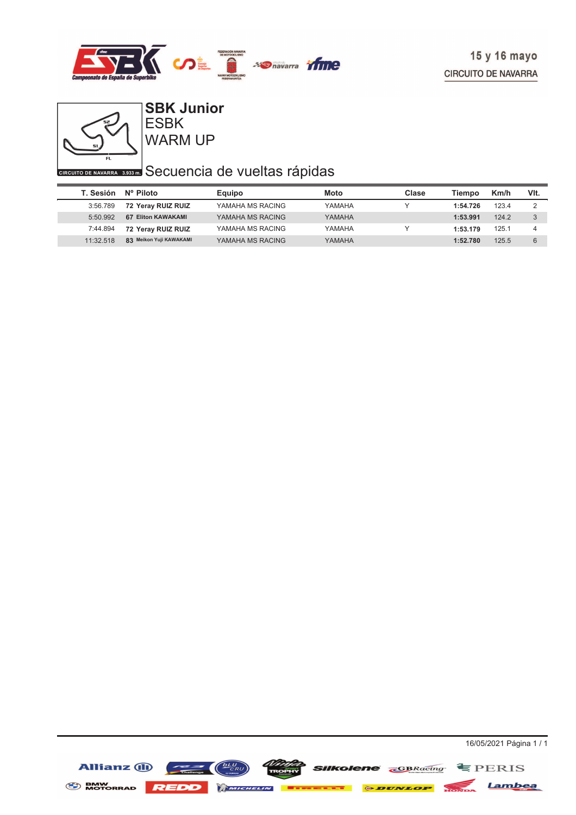



### WARM UP ESBK **SBK Junior**

# **CIRCUITO DE NAVARRA** 3,933 Secuencia de vueltas rápidas

| T. Sesión | Nº Piloto               | Equipo           | Moto   | Clase | Tiempo   | Km/h  | VIt. |
|-----------|-------------------------|------------------|--------|-------|----------|-------|------|
| 3:56.789  | 72 Yeray RUIZ RUIZ      | YAMAHA MS RACING | YAMAHA |       | 1:54.726 | 123.4 | っ    |
| 5:50.992  | 67 Eliton KAWAKAMI      | YAMAHA MS RACING | YAMAHA |       | 1:53.991 | 124.2 | 3    |
| 7:44.894  | 72 Yeray RUIZ RUIZ      | YAMAHA MS RACING | YAMAHA |       | 1:53.179 | 125.1 |      |
| 11:32.518 | 83 Meikon Yuji KAWAKAMI | YAMAHA MS RACING | YAMAHA |       | 1:52.780 | 125.5 | 6    |

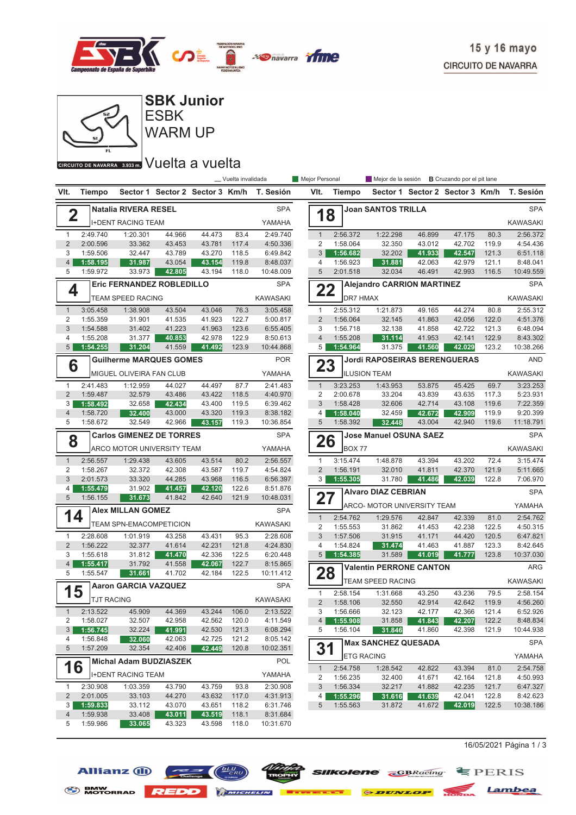



ESBK **SBK Junior**

WARM UP

#### CIRCUITO DE NAVARRA 3.933 m. VUelta a vuelta

|                                |                      |                                  |                                 |                  | _ Vuelta invalidada |                       | Mejor Personal      |                      | Mejor de la sesión <b>B</b> Cruzando por el pit lane |                  |                                 |                |                       |
|--------------------------------|----------------------|----------------------------------|---------------------------------|------------------|---------------------|-----------------------|---------------------|----------------------|------------------------------------------------------|------------------|---------------------------------|----------------|-----------------------|
| VIt.                           | Tiempo               |                                  | Sector 1 Sector 2 Sector 3 Km/h |                  |                     | T. Sesión             | VIt.                | Tiempo               |                                                      |                  | Sector 1 Sector 2 Sector 3 Km/h |                | T. Sesión             |
|                                |                      | <b>Natalia RIVERA RESEL</b>      |                                 |                  |                     | <b>SPA</b>            |                     |                      | <b>Joan SANTOS TRILLA</b>                            |                  |                                 |                | <b>SPA</b>            |
| $\overline{\mathbf{2}}$        |                      | <b>I+DENT RACING TEAM</b>        |                                 |                  |                     | YAMAHA                | 18                  |                      |                                                      |                  |                                 |                | <b>KAWASAKI</b>       |
| $\mathbf{1}$                   | 2:49.740             | 1:20.301                         | 44.966                          | 44.473           | 83.4                | 2:49.740              | $\mathbf{1}$        | 2:56.372             | 1:22.298                                             | 46.899           | 47.175                          | 80.3           | 2:56.372              |
| $\overline{2}$                 | 2:00.596             | 33.362                           | 43.453                          | 43.781           | 117.4               | 4:50.336              | 2                   | 1:58.064             | 32.350                                               | 43.012           | 42.702                          | 119.9          | 4:54.436              |
| 3<br>$\overline{4}$            | 1:59.506<br>1:58.195 | 32.447<br>31.987                 | 43.789<br>43.054                | 43.270<br>43.154 | 118.5<br>119.8      | 6:49.842<br>8:48.037  | 3<br>4              | 1:56.682<br>1:56.923 | 32.202<br>31.881                                     | 41.933<br>42.063 | 42.547<br>42.979                | 121.3<br>121.1 | 6:51.118<br>8:48.041  |
| 5                              | 1:59.972             | 33.973                           | 42.805                          | 43.194           | 118.0               | 10:48.009             | $\overline{5}$      | 2:01.518             | 32.034                                               | 46.491           | 42.993                          | 116.5          | 10:49.559             |
| 4                              |                      | <b>Eric FERNANDEZ ROBLEDILLO</b> |                                 |                  |                     | <b>SPA</b>            | 22                  |                      | <b>Alejandro CARRION MARTINEZ</b>                    |                  |                                 |                | <b>SPA</b>            |
|                                |                      | TEAM SPEED RACING                |                                 |                  |                     | <b>KAWASAKI</b>       |                     | <b>DR7 HMAX</b>      |                                                      |                  |                                 |                | <b>KAWASAKI</b>       |
| $\mathbf{1}$                   | 3:05.458             | 1:38.908                         | 43.504                          | 43.046           | 76.3                | 3:05.458              | $\mathbf{1}$        | 2:55.312             | 1:21.873                                             | 49.165           | 44.274                          | 80.8           | 2:55.312              |
| $\overline{2}$                 | 1:55.359             | 31.901                           | 41.535                          | 41.923           | 122.7               | 5:00.817              | $\overline{2}$      | 1:56.064             | 32.145                                               | 41.863           | 42.056                          | 122.0          | 4:51.376              |
| 3                              | 1:54.588             | 31.402                           | 41.223                          | 41.963           | 123.6               | 6:55.405              | 3                   | 1:56.718             | 32.138                                               | 41.858           | 42.722                          | 121.3          | 6:48.094              |
| 4                              | 1:55.208             | 31.377                           | 40.853                          | 42.978           | 122.9               | 8:50.613              | $\overline{4}$      | 1:55.208             | 31.114                                               | 41.953           | 42.141                          | 122.9          | 8:43.302              |
| 5                              | 1:54.255             | 31.204                           | 41.559                          | 41.492           | 123.9               | 10:44.868             | 5                   | 1:54.964             | 31.375                                               | 41.560           | 42.029                          | 123.2          | 10:38.266             |
| 6                              |                      | <b>Guilherme MARQUES GOMES</b>   |                                 |                  |                     | <b>POR</b>            | 23                  |                      | <b>Jordi RAPOSEIRAS BERENGUERAS</b>                  |                  |                                 |                | <b>AND</b>            |
|                                |                      | MIGUEL OLIVEIRA FAN CLUB         |                                 |                  |                     | YAMAHA                |                     |                      | <b>ILUSION TEAM</b>                                  |                  |                                 |                | <b>KAWASAKI</b>       |
| $\mathbf{1}$                   | 2:41.483             | 1:12.959                         | 44.027                          | 44.497           | 87.7                | 2:41.483              | $\mathbf{1}$        | 3:23.253             | 1:43.953                                             | 53.875           | 45.425                          | 69.7           | 3:23.253              |
| $\overline{2}$                 | 1:59.487             | 32.579                           | 43.486                          | 43.422           | 118.5               | 4:40.970              | 2                   | 2:00.678             | 33.204                                               | 43.839           | 43.635                          | 117.3          | 5:23.931              |
| 3                              | 1:58.492             | 32.658                           | 42.434                          | 43.400           | 119.5               | 6:39.462              | 3                   | 1:58.428             | 32.606                                               | 42.714           | 43.108                          | 119.6          | 7:22.359              |
| $\overline{4}$<br>5            | 1:58.720<br>1:58.672 | 32.400<br>32.549                 | 43.000<br>42.966                | 43.320<br>43.157 | 119.3<br>119.3      | 8:38.182<br>10:36.854 | 4<br>5              | 1:58.040<br>1:58.392 | 32.459<br>32.448                                     | 42.672<br>43.004 | 42.909<br>42.940                | 119.9<br>119.6 | 9:20.399<br>11:18.791 |
|                                |                      | <b>Carlos GIMENEZ DE TORRES</b>  |                                 |                  |                     | <b>SPA</b>            |                     |                      | <b>Jose Manuel OSUNA SAEZ</b>                        |                  |                                 |                | <b>SPA</b>            |
| 8                              |                      |                                  |                                 |                  |                     |                       | 26                  |                      |                                                      |                  |                                 |                |                       |
|                                |                      | ARCO MOTOR UNIVERSITY TEAM       |                                 |                  |                     | YAMAHA                |                     | <b>BOX 77</b>        |                                                      |                  |                                 |                | <b>KAWASAKI</b>       |
| $\mathbf{1}$                   | 2:56.557             | 1:29.438                         | 43.605                          | 43.514           | 80.2                | 2:56.557              | $\mathbf{1}$        | 3:15.474             | 1:48.878                                             | 43.394           | 43.202                          | 72.4           | 3:15.474              |
| 2<br>3                         | 1:58.267             | 32.372                           | 42.308<br>44.285                | 43.587           | 119.7               | 4:54.824              | 2<br>3 <sup>1</sup> | 1:56.191             | 32.010                                               | 41.811           | 42.370                          | 121.9          | 5:11.665              |
| 4                              | 2:01.573<br>1:55.479 | 33.320<br>31.902                 | 41.457                          | 43.968<br>42.120 | 116.5<br>122.6      | 6:56.397<br>8:51.876  |                     | 1:55.305             | 31.780                                               | 41.486           | 42.039                          | 122.8          | 7:06.970              |
| 5                              | 1:56.155             | 31.673                           | 41.842                          | 42.640           | 121.9               | 10:48.031             | 27                  |                      | <b>Alvaro DIAZ CEBRIAN</b>                           |                  |                                 |                | <b>SPA</b>            |
|                                |                      | <b>Alex MILLAN GOMEZ</b>         |                                 |                  |                     | <b>SPA</b>            |                     |                      | ARCO- MOTOR UNIVERSITY TEAM                          |                  |                                 |                | YAMAHA                |
| 14                             |                      | TEAM SPN-EMACOMPETICION          |                                 |                  |                     | KAWASAKI              | $\mathbf{1}$        | 2:54.762             | 1:29.576                                             | 42.847           | 42.339                          | 81.0           | 2:54.762              |
|                                |                      |                                  |                                 |                  |                     |                       | 2                   | 1:55.553             | 31.862                                               | 41.453           | 42.238                          | 122.5          | 4:50.315              |
| $\mathbf{1}$<br>$\overline{2}$ | 2:28.608<br>1:56.222 | 1:01.919<br>32.377               | 43.258<br>41.614                | 43.431<br>42.231 | 95.3<br>121.8       | 2:28.608<br>4:24.830  | 3<br>4              | 1:57.506             | 31.915<br>31.474                                     | 41.171           | 44.420<br>41.887                | 120.5<br>123.3 | 6:47.821<br>8:42.645  |
| 3                              | 1:55.618             | 31.812                           | 41.470                          | 42.336           | 122.5               | 6:20.448              | 5 <sup>5</sup>      | 1:54.824<br>1:54.385 | 31.589                                               | 41.463<br>41.019 | 41.777                          | 123.8          | 10:37.030             |
| $\overline{4}$                 | 1:55.417             | 31.792                           | 41.558                          | 42.067           | 122.7               | 8:15.865              |                     |                      | <b>Valentin PERRONE CANTON</b>                       |                  |                                 |                | ARG                   |
| 5                              | 1:55.547             | 31.661                           | 41.702                          | 42.184           | 122.5               | 10:11.412             | 28                  |                      | <b>TEAM SPEED RACING</b>                             |                  |                                 |                | <b>KAWASAKI</b>       |
| 15                             |                      | <b>Aaron GARCIA VAZQUEZ</b>      |                                 |                  |                     | <b>SPA</b>            | $\mathbf{1}$        | 2:58.154             | 1:31.668                                             | 43.250           | 43.236                          | 79.5           | 2:58.154              |
|                                | <b>TJT RACING</b>    |                                  |                                 |                  |                     | <b>KAWASAKI</b>       | $\overline{2}$      | 1:58.106             | 32.550                                               | 42.914           | 42.642                          | 119.9          | 4:56.260              |
| 1                              | 2:13.522             | 45.909                           | 44.369                          | 43.244           | 106.0               | 2:13.522              | 3                   | 1:56.666             | 32.123                                               | 42.177           | 42.366                          | 121.4          | 6:52.926              |
| 2                              | 1:58.027             | 32.507                           | 42.958                          | 42.562           | 120.0               | 4:11.549              | $\overline{4}$      | 1:55.908             | 31.858                                               | 41.843           | 42.207                          | 122.2          | 8:48.834              |
| 3                              | 1:56.745             | 32.224                           | 41.991                          | 42.530           | 121.3               | 6:08.294              | 5                   | 1:56.104             | 31.846                                               | 41.860           | 42.398                          | 121.9          | 10:44.938             |
| 4                              | 1:56.848             | 32.060                           | 42.063                          | 42.725           | 121.2               | 8:05.142              |                     |                      | <b>Max SANCHEZ QUESADA</b>                           |                  |                                 |                | <b>SPA</b>            |
| 5                              | 1:57.209             | 32.354                           | 42.406                          | 42.449           | 120.8               | 10:02.351             | 31                  | <b>ETG RACING</b>    |                                                      |                  |                                 |                | YAMAHA                |
| 16                             |                      | Michal Adam BUDZIASZEK           |                                 |                  |                     | POL                   |                     |                      |                                                      |                  |                                 |                |                       |
|                                |                      | <b>I+DENT RACING TEAM</b>        |                                 |                  |                     | YAMAHA                | $\mathbf{1}$<br>2   | 2:54.758<br>1:56.235 | 1:28.542<br>32.400                                   | 42.822<br>41.671 | 43.394<br>42.164                | 81.0<br>121.8  | 2:54.758<br>4:50.993  |
| 1                              | 2:30.908             | 1:03.359                         | 43.790                          | 43.759           | 93.8                | 2:30.908              | 3                   | 1:56.334             | 32.217                                               | 41.882           | 42.235                          | 121.7          | 6:47.327              |
| $\overline{2}$                 | 2:01.005             | 33.103                           | 44.270                          | 43.632           | 117.0               | 4:31.913              | 4                   | 1:55.296             | 31.616                                               | 41.639           | 42.041                          | 122.8          | 8:42.623              |
| 3                              | 1:59.833             | 33.112                           | 43.070                          | 43.651           | 118.2               | 6:31.746              | 5                   | 1:55.563             | 31.872                                               | 41.672           | 42.019                          | 122.5          | 10:38.186             |
| 4                              | 1:59.938             | 33.408                           | 43.011                          | 43.519           | 118.1               | 8:31.684              |                     |                      |                                                      |                  |                                 |                |                       |
| 5                              | 1:59.986             | 33.065                           | 43.323                          | 43.598           | 118.0               | 10:31.670             |                     |                      |                                                      |                  |                                 |                |                       |

 $16/05/2021$  Página 1 / 3





*Ninte* **SIIKolene** *GBRacing* **E** PERIS

BMW NOTORRAD REDD MINIMUM EXECUTE & DUNLOP NOTION Lambea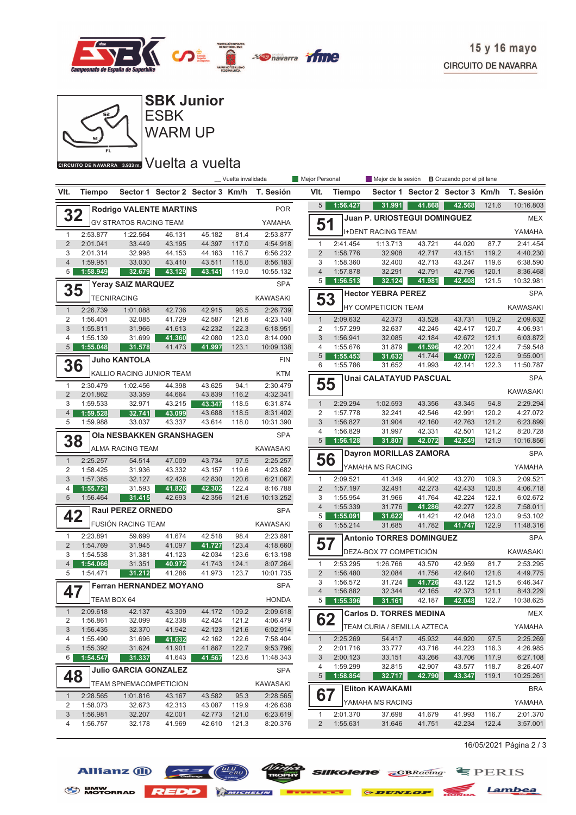



| 4              | 1:59.528    | 32.741                          | 43.099 | 43.688 | 118.5 | 8:31.402        |
|----------------|-------------|---------------------------------|--------|--------|-------|-----------------|
| 5              | 1:59.988    | 33.037                          | 43.337 | 43.614 | 118.0 | 10:31.390       |
| 38             |             | <b>Ola NESBAKKEN GRANSHAGEN</b> |        |        |       | <b>SPA</b>      |
|                |             | <b>ALMA RACING TEAM</b>         |        |        |       | <b>KAWASAKI</b> |
| $\overline{1}$ | 2:25.257    | 54.514                          | 47.009 | 43.734 | 97.5  | 2:25.257        |
| $\overline{2}$ | 1:58.425    | 31.936                          | 43.332 | 43.157 | 119.6 | 4:23.682        |
| 3              | 1:57.385    | 32.127                          | 42.428 | 42.830 | 120.6 | 6:21.067        |
| 4              | 1:55.721    | 31.593                          | 41.826 | 42.302 | 122.4 | 8:16.788        |
| 5              | 1:56.464    | 31.415                          | 42.693 | 42.356 | 121.6 | 10:13.252       |
| 42             |             | <b>Raul PEREZ ORNEDO</b>        |        |        |       | <b>SPA</b>      |
|                |             | <b>FUSIÓN RACING TEAM</b>       |        |        |       | <b>KAWASAKI</b> |
| 1              | 2:23.891    | 59.699                          | 41.674 | 42.518 | 98.4  | 2:23.891        |
| $\overline{2}$ | 1:54.769    | 31.945                          | 41.097 | 41.727 | 123.4 | 4:18.660        |
| 3              | 1:54.538    | 31.381                          | 41.123 | 42.034 | 123.6 | 6:13.198        |
| $\overline{4}$ | 1:54.066    | 31.351                          | 40.972 | 41.743 | 124.1 | 8:07.264        |
| 5              | 1:54.471    | 31.212                          | 41.286 | 41.973 | 123.7 | 10:01.735       |
| 47             |             | <b>Ferran HERNANDEZ MOYANO</b>  |        |        |       | <b>SPA</b>      |
|                | TEAM BOX 64 |                                 |        |        |       | <b>HONDA</b>    |
| $\overline{1}$ | 2:09.618    | 42.137                          | 43.309 | 44.172 | 109.2 | 2:09.618        |
| $\overline{2}$ | 1:56.861    | 32.099                          | 42.338 | 42.424 | 121.2 | 4:06.479        |
| 3              | 1:56.435    | 32.370                          | 41.942 | 42.123 | 121.6 | 6:02.914        |
| 4              | 1:55.490    | 31.696                          | 41.632 | 42.162 | 122.6 | 7:58.404        |
| 5              | 1:55.392    | 31.624                          | 41.901 | 41.867 | 122.7 | 9:53.796        |
| 6              | 1:54.547    | 31.337                          | 41.643 | 41.567 | 123.6 | 11:48.343       |
| 48             |             | <b>Julio GARCIA GONZALEZ</b>    |        |        |       | <b>SPA</b>      |
|                |             | <b>TEAM SPNEMACOMPETICION</b>   |        |        |       | <b>KAWASAKI</b> |
| $\mathbf{1}$   | 2:28.565    | 1:01.816                        | 43.167 | 43.582 | 95.3  | 2:28.565        |
| $\overline{2}$ | 1:58.073    | 32.673                          | 42.313 | 43.087 | 119.9 | 4:26.638        |
| 3              | 1:56.981    | 32.207                          | 42.001 | 42.773 | 121.0 | 6:23.619        |

4 1:56.757 32.178 121.3 41.969 42.610 8:20.376

|                 | Vuelta invalidada |                             | Mejor Personal |                      | Mejor de la sesión              |                  | <b>B</b> Cruzando por el pit lane |                |                       |
|-----------------|-------------------|-----------------------------|----------------|----------------------|---------------------------------|------------------|-----------------------------------|----------------|-----------------------|
|                 | r <b>3 Km/h</b>   | T. Sesión                   | VIt.           | <b>Tiempo</b>        | Sector 1                        |                  | Sector 2 Sector 3 Km/h            |                | T. Sesión             |
|                 |                   | <b>POR</b>                  | 5              | 1:56.427             | 31.991                          | 41.868           | 42.568                            | 121.6          | 10:16.803             |
|                 |                   | YAMAHA                      | 51             |                      | Juan P. URIOSTEGUI DOMINGUEZ    |                  |                                   |                | <b>MEX</b>            |
| 82              | 81.4              | 2:53.877                    |                |                      | <b>I+DENT RACING TEAM</b>       |                  |                                   |                | YAMAHA                |
| 97              | 117.0             | 4:54.918                    | $\mathbf{1}$   | 2:41.454             | 1:13.713                        | 43.721           | 44.020                            | 87.7           | 2:41.454              |
| 63              | 116.7             | 6:56.232                    | $\overline{2}$ | 1:58.776             | 32.908                          | 42.717           | 43.151                            | 119.2          | 4:40.230              |
| 11              | 118.0             | 8:56.183                    | 3              | 1:58.360             | 32.400                          | 42.713           | 43.247                            | 119.6          | 6:38.590              |
| 41              | 119.0             | 10:55.132                   | 4              | 1:57.878             | 32.291                          | 42.791           | 42.796                            | 120.1          | 8:36.468              |
|                 |                   | <b>SPA</b>                  | 5              | 1:56.513             | 32.124                          | 41.981           | 42.408                            | 121.5          | 10:32.981             |
|                 |                   | <b>KAWASAKI</b>             | 53             |                      | <b>Hector YEBRA PEREZ</b>       |                  |                                   |                | <b>SPA</b>            |
| 15              | 96.5              | 2:26.739                    |                |                      | HY COMPETICION TEAM             |                  |                                   |                | <b>KAWASAKI</b>       |
| 87              | 121.6             | 4:23.140                    | $\mathbf{1}$   | 2:09.632             | 42.373                          | 43.528           | 43.731                            | 109.2          | 2:09.632              |
| 32              | 122.3             | 6:18.951                    | $\overline{2}$ | 1:57.299             | 32.637                          | 42.245           | 42.417                            | 120.7          | 4:06.931              |
| 80              | 123.0             | 8:14.090                    | 3              | 1:56.941             | 32.085                          | 42.184           | 42.672                            | 121.1          | 6:03.872              |
| 97              | 123.1             | 10:09.138                   | 4              | 1:55.676             | 31.879                          | 41.596           | 42.201                            | 122.4          | 7:59.548              |
|                 |                   |                             | 5              | 1:55.453             | 31.632                          | 41.744           | 42.077                            | 122.6          | 9:55.001              |
|                 |                   | <b>FIN</b>                  | 6              | 1:55.786             | 31.652                          | 41.993           | 42.141                            | 122.3          | 11:50.787             |
|                 |                   | <b>KTM</b>                  |                |                      | <b>Unai CALATAYUD PASCUAL</b>   |                  |                                   |                | <b>SPA</b>            |
| 25<br>39        | 94.1<br>116.2     | 2:30.479<br>4:32.341        | 55             |                      |                                 |                  |                                   |                | <b>KAWASAKI</b>       |
| 47              | 118.5             | 6:31.874                    | $\mathbf{1}$   | 2:29.294             | 1:02.593                        | 43.356           | 43.345                            | 94.8           | 2:29.294              |
| 88              | 118.5             | 8:31.402                    | $\overline{2}$ | 1:57.778             | 32.241                          | 42.546           | 42.991                            | 120.2          | 4:27.072              |
| 14              | 118.0             | 10:31.390                   | 3              | 1:56.827             | 31.904                          | 42.160           | 42.763                            | 121.2          | 6:23.899              |
|                 |                   |                             | 4              | 1:56.829             | 31.997                          | 42.331           | 42.501                            | 121.2          | 8:20.728              |
|                 |                   | <b>SPA</b>                  | 5              | 1:56.128             | 31.807                          | 42.072           | 42.249                            | 121.9          | 10:16.856             |
|                 |                   | <b>KAWASAKI</b>             |                |                      | <b>Dayron MORILLAS ZAMORA</b>   |                  |                                   |                | <b>SPA</b>            |
| 34              | 97.5              | 2:25.257                    |                | 56                   | YAMAHA MS RACING                |                  |                                   |                | YAMAHA                |
| 57              | 119.6             | 4:23.682                    |                |                      |                                 |                  |                                   |                |                       |
| 30              | 120.6             | 6:21.067                    | $\mathbf{1}$   | 2:09.521             | 41.349                          | 44.902           | 43.270                            | 109.3          | 2:09.521              |
| 02              | 122.4             | 8:16.788                    | $\overline{2}$ | 1:57.197             | 32.491                          | 42.273           | 42.433                            | 120.8          | 4:06.718              |
| 56              | 121.6             | 10:13.252                   | 3              | 1:55.954             | 31.966                          | 41.764           | 42.224                            | 122.1          | 6:02.672              |
|                 |                   | <b>SPA</b>                  | 4              | 1:55.339             | 31.776                          | 41.286           | 42.277                            | 122.8          | 7:58.011              |
|                 |                   |                             | 5              | 1:55.091             | 31.622                          | 41.421           | 42.048                            | 123.0          | 9:53.102              |
| 18              | 98.4              | <b>KAWASAKI</b><br>2:23.891 | 6              | 1:55.214             | 31.685                          | 41.782           | 41.747                            | 122.9          | 11:48.316             |
| 27              | 123.4             | 4:18.660                    | 57             |                      | <b>Antonio TORRES DOMINGUEZ</b> |                  |                                   |                | <b>SPA</b>            |
| 34              | 123.6             | 6:13.198                    |                |                      | DEZA-BOX 77 COMPETICIÓN         |                  |                                   |                | <b>KAWASAKI</b>       |
| 43              | 124.1             | 8:07.264                    | $\mathbf{1}$   | 2:53.295             | 1:26.766                        | 43.570           | 42.959                            | 81.7           | 2:53.295              |
| 73              | 123.7             | 10:01.735                   | $\overline{2}$ | 1:56.480             | 32.084                          | 41.756           | 42.640                            | 121.6          | 4:49.775              |
|                 |                   |                             | 3              | 1:56.572             | 31.724                          | 41.726           | 43.122                            | 121.5          | 6:46.347              |
|                 |                   | <b>SPA</b>                  | $\overline{4}$ | 1:56.882             | 32.344                          | 42.165           | 42.373                            | 121.1          | 8:43.229              |
|                 |                   | <b>HONDA</b>                | 5              | 1:55.396             | 31.161                          | 42.187           | 42.048                            | 122.7          | 10:38.625             |
| $\overline{72}$ | 109.2             | 2:09.618                    |                |                      | <b>Carlos D. TORRES MEDINA</b>  |                  |                                   |                | MEX                   |
| 24              | 121.2             | 4:06.479                    |                | 62                   | TEAM CURIA / SEMILLA AZTECA     |                  |                                   |                | YAMAHA                |
| 23              | 121.6             | 6:02.914                    |                |                      |                                 |                  |                                   |                |                       |
| 62              | 122.6             | 7:58.404                    | $\mathbf{1}$   | 2:25.269             | 54.417                          | 45.932           | 44.920                            | 97.5           | 2:25.269              |
| 67              | 122.7             | 9:53.796                    | 2              | 2:01.716             | 33.777                          | 43.716           | 44.223                            | 116.3          | 4:26.985              |
| 67              | 123.6             | 11:48.343                   | 3              | 2:00.123             | 33.151                          | 43.266           | 43.706                            | 117.9          | 6:27.108              |
|                 |                   | <b>SPA</b>                  | 4<br>5         | 1:59.299<br>1:58.854 | 32.815<br>32.717                | 42.907<br>42.790 | 43.577<br>43.347                  | 118.7<br>119.1 | 8:26.407<br>10:25.261 |
|                 |                   | KAWASAKI                    |                |                      | <b>Eliton KAWAKAMI</b>          |                  |                                   |                | <b>BRA</b>            |
| 82              | 95.3              | 2:28.565                    | 67             |                      | YAMAHA MS RACING                |                  |                                   |                | YAMAHA                |
| 87              | 119.9             | 4:26.638                    |                |                      |                                 |                  |                                   |                |                       |
| 73              | 121.0             | 6:23.619                    | 1              | 2:01.370             | 37.698                          | 41.679           | 41.993                            | 116.7          | 2:01.370              |
| 10              | 121.3             | 8:20.376                    | 2              | 1:55.631             | 31.646                          | 41.751           | 42.234                            | 122.4          | 3:57.001              |

16/05/2021 Página 2 / 3

Lambea

 $E$ FERIS

### **Allianz (ii) BMW**<br>MOTORRAD





 $\blacksquare$ 

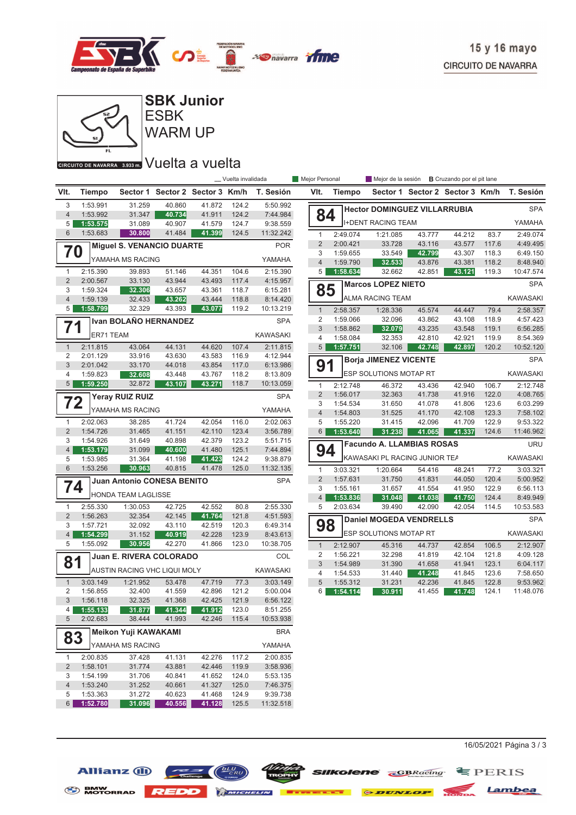



**SBK Junior**

### **CIRCUITO DE NAVARRA** 3.938mm Vuelta a vuelta

|                                  |                      |                                     |                                 |                  | _ Vuelta invalidada |                      | Mejor Personal                 |          | Mejor de la sesión <b>B</b> Cruzando por el pit lane |                  |                                 |                |                      |
|----------------------------------|----------------------|-------------------------------------|---------------------------------|------------------|---------------------|----------------------|--------------------------------|----------|------------------------------------------------------|------------------|---------------------------------|----------------|----------------------|
| VIt.                             | <b>Tiempo</b>        |                                     | Sector 1 Sector 2 Sector 3 Km/h |                  |                     | T. Sesión            | VIt.                           | Tiempo   |                                                      |                  | Sector 1 Sector 2 Sector 3 Km/h |                | T. Sesión            |
| 3                                | 1:53.991             | 31.259                              | 40.860                          | 41.872           | 124.2               | 5:50.992             |                                |          | <b>Hector DOMINGUEZ VILLARRUBIA</b>                  |                  |                                 |                | <b>SPA</b>           |
| $\overline{4}$<br>5              | 1:53.992<br>1:53.575 | 31.347<br>31.089                    | 40.734<br>40.907                | 41.911           | 124.2<br>124.7      | 7:44.984<br>9:38.559 | 84                             |          | <b>I+DENT RACING TEAM</b>                            |                  |                                 |                | YAMAHA               |
| $6\phantom{1}$                   | 1:53.683             | 30.800                              | 41.484                          | 41.579<br>41.399 | 124.5               | 11:32.242            |                                | 2:49.074 | 1:21.085                                             | 43.777           | 44.212                          | 83.7           | 2:49.074             |
|                                  |                      |                                     |                                 |                  |                     | <b>POR</b>           | $\mathbf{1}$<br>2              | 2:00.421 | 33.728                                               | 43.116           | 43.577                          | 117.6          | 4:49.495             |
| 70                               |                      | <b>Miguel S. VENANCIO DUARTE</b>    |                                 |                  |                     |                      | 3                              | 1:59.655 | 33.549                                               | 42.799           | 43.307                          | 118.3          | 6:49.150             |
|                                  |                      | YAMAHA MS RACING                    |                                 |                  |                     | YAMAHA               | $\overline{4}$                 | 1:59.790 | 32.533                                               | 43.876           | 43.381                          | 118.2          | 8:48.940             |
| $\mathbf{1}$                     | 2:15.390             | 39.893                              | 51.146                          | 44.351           | 104.6               | 2:15.390             | 5                              | 1:58.634 | 32.662                                               | 42.851           | 43.121                          | 119.3          | 10:47.574            |
| 2                                | 2:00.567             | 33.130                              | 43.944                          | 43.493           | 117.4               | 4:15.957             |                                |          | <b>Marcos LOPEZ NIETO</b>                            |                  |                                 |                | <b>SPA</b>           |
| 3<br>$\overline{4}$              | 1:59.324<br>1:59.139 | 32.306<br>32.433                    | 43.657                          | 43.361<br>43.444 | 118.7<br>118.8      | 6:15.281<br>8:14.420 | 85                             |          | ALMA RACING TEAM                                     |                  |                                 |                | <b>KAWASAKI</b>      |
| 5                                | 1:58.799             | 32.329                              | 43.262<br>43.393                | 43.077           | 119.2               | 10:13.219            |                                | 2:58.357 | 1:28.336                                             | 45.574           | 44.447                          |                | 2:58.357             |
|                                  |                      | Ivan BOLAÑO HERNANDEZ               |                                 |                  |                     | <b>SPA</b>           | $\mathbf{1}$<br>$\overline{c}$ | 1:59.066 | 32.096                                               | 43.862           | 43.108                          | 79.4<br>118.9  | 4:57.423             |
| 71                               |                      |                                     |                                 |                  |                     |                      | 3                              | 1:58.862 | 32.079                                               | 43.235           | 43.548                          | 119.1          | 6:56.285             |
|                                  | ER71 TEAM            |                                     |                                 |                  |                     | <b>KAWASAKI</b>      | $\overline{4}$                 | 1:58.084 | 32.353                                               | 42.810           | 42.921                          | 119.9          | 8:54.369             |
| $\mathbf{1}$                     | 2:11.815             | 43.064                              | 44.131                          | 44.620           | 107.4               | 2:11.815             | 5 <sup>1</sup>                 | 1:57.751 | 32.106                                               | 42.748           | 42.897                          | 120.2          | 10:52.120            |
| $\overline{2}$                   | 2:01.129             | 33.916                              | 43.630                          | 43.583           | 116.9               | 4:12.944             |                                |          | <b>Borja JIMENEZ VICENTE</b>                         |                  |                                 |                | <b>SPA</b>           |
| 3                                | 2:01.042             | 33.170                              | 44.018                          | 43.854<br>43.767 | 117.0               | 6:13.986<br>8:13.809 | 91                             |          | ESP SOLUTIONS MOTAP RT                               |                  |                                 |                | <b>KAWASAKI</b>      |
| $\overline{4}$<br>5 <sup>5</sup> | 1:59.823<br>1:59.250 | 32.608<br>32.872                    | 43.448<br>43.107                | 43.271           | 118.2<br>118.7      | 10:13.059            |                                | 2:12.748 |                                                      |                  |                                 |                |                      |
|                                  |                      |                                     |                                 |                  |                     |                      | $\mathbf{1}$<br>$\overline{2}$ | 1:56.017 | 46.372<br>32.363                                     | 43.436<br>41.738 | 42.940<br>41.916                | 106.7<br>122.0 | 2:12.748<br>4:08.765 |
| 72                               |                      | Yeray RUIZ RUIZ                     |                                 |                  |                     | <b>SPA</b>           | 3                              | 1:54.534 | 31.650                                               | 41.078           | 41.806                          | 123.6          | 6:03.299             |
|                                  |                      | YAMAHA MS RACING                    |                                 |                  |                     | YAMAHA               | $\overline{4}$                 | 1:54.803 | 31.525                                               | 41.170           | 42.108                          | 123.3          | 7:58.102             |
| $\mathbf{1}$                     | 2:02.063             | 38.285                              | 41.724                          | 42.054           | 116.0               | 2:02.063             | 5                              | 1:55.220 | 31.415                                               | 42.096           | 41.709                          | 122.9          | 9:53.322             |
| $\overline{2}$                   | 1:54.726             | 31.465                              | 41.151                          | 42.110           | 123.4               | 3:56.789             | 6 <sup>1</sup>                 | 1:53.640 | 31.238                                               | 41.065           | 41.337                          | 124.6          | 11:46.962            |
| 3                                | 1:54.926             | 31.649                              | 40.898                          | 42.379           | 123.2               | 5:51.715             |                                |          | <b>Facundo A. LLAMBIAS ROSAS</b>                     |                  |                                 |                | <b>URU</b>           |
| $\overline{4}$<br>5              | 1:53.179<br>1:53.985 | 31.099<br>31.364                    | 40.600<br>41.198                | 41.480<br>41.423 | 125.1<br>124.2      | 7:44.894<br>9:38.879 | 94                             |          | KAWASAKI PL RACING JUNIOR TEA                        |                  |                                 |                | <b>KAWASAKI</b>      |
| 6                                | 1:53.256             | 30.963                              | 40.815                          | 41.478           | 125.0               | 11:32.135            | $\mathbf{1}$                   | 3:03.321 | 1:20.664                                             | 54.416           | 48.241                          | 77.2           | 3:03.321             |
|                                  |                      | <b>Juan Antonio CONESA BENITO</b>   |                                 |                  |                     | <b>SPA</b>           | $\overline{2}$                 | 1:57.631 | 31.750                                               | 41.831           | 44.050                          | 120.4          | 5:00.952             |
| $7\overline{4}$                  |                      |                                     |                                 |                  |                     |                      | 3                              | 1:55.161 | 31.657                                               | 41.554           | 41.950                          | 122.9          | 6:56.113             |
|                                  |                      | HONDA TEAM LAGLISSE                 |                                 |                  |                     |                      | $\overline{4}$                 | 1:53.836 | 31.048                                               | 41.038           | 41.750                          | 124.4          | 8:49.949             |
| $\mathbf{1}$                     | 2:55.330             | 1:30.053                            | 42.725                          | 42.552           | 80.8                | 2:55.330             | 5                              | 2:03.634 | 39.490                                               | 42.090           | 42.054                          | 114.5          | 10:53.583            |
| 2                                | 1:56.263             | 32.354                              | 42.145                          | 41.764           | 121.8               | 4:51.593             |                                |          | <b>Daniel MOGEDA VENDRELLS</b>                       |                  |                                 |                | <b>SPA</b>           |
| 3<br>$\overline{4}$              | 1:57.721<br>1:54.299 | 32.092<br>31.152                    | 43.110<br>40.919                | 42.519<br>42.228 | 120.3<br>123.9      | 6:49.314<br>8:43.613 | 98                             |          | ESP SOLUTIONS MOTAP RT                               |                  |                                 |                | <b>KAWASAKI</b>      |
| 5                                | 1:55.092             | 30.956                              | 42.270                          | 41.866           | 123.0               | 10:38.705            | $\mathbf{1}$                   | 2:12.907 | 45.316                                               | 44.737           | 42.854                          | 106.5          | 2:12.907             |
|                                  |                      | <b>Juan E. RIVERA COLORADO</b>      |                                 |                  |                     | COL                  | 2                              | 1:56.221 | 32.298                                               | 41.819           | 42.104                          | 121.8          | 4:09.128             |
| 81                               |                      |                                     |                                 |                  |                     |                      | 3                              | 1:54.989 | 31.390                                               | 41.658           | 41.941                          | 123.1          | 6:04.117             |
|                                  |                      | <b>AUSTIN RACING VHC LIQUI MOLY</b> |                                 |                  |                     | KAWASAKI             | $\overline{4}$                 | 1:54.533 | 31.440                                               | 41.248           | 41.845                          | 123.6          | 7:58.650             |
| $\mathbf{1}$                     | 3:03.149             | 1:21.952                            | 53.478                          | 47.719           | 77.3                | 3:03.149             | 5                              | 1:55.312 | 31.231                                               | 42.236           | 41.845                          | 122.8          | 9:53.962             |
| 2                                | 1:56.855             | 32.400                              | 41.559                          | 42.896           | 121.2               | 5:00.004             | 6                              | 1:54.114 | 30.911                                               | 41.455           | 41.748                          | 124.1          | 11:48.076            |
| 3<br>4                           | 1:56.118<br>1:55.133 | 32.325<br>31.877                    | 41.368<br>41.344                | 42.425<br>41.912 | 121.9<br>123.0      | 6:56.122<br>8:51.255 |                                |          |                                                      |                  |                                 |                |                      |
| 5                                | 2:02.683             | 38.444                              | 41.993                          | 42.246           | 115.4               | 10:53.938            |                                |          |                                                      |                  |                                 |                |                      |
|                                  |                      | Meikon Yuji KAWAKAMI                |                                 |                  |                     | <b>BRA</b>           |                                |          |                                                      |                  |                                 |                |                      |
| 83                               |                      |                                     |                                 |                  |                     |                      |                                |          |                                                      |                  |                                 |                |                      |
|                                  |                      | YAMAHA MS RACING                    |                                 |                  |                     | YAMAHA               |                                |          |                                                      |                  |                                 |                |                      |
| $\mathbf{1}$                     | 2:00.835             | 37.428                              | 41.131                          | 42.276           | 117.2               | 2:00.835             |                                |          |                                                      |                  |                                 |                |                      |
| $\overline{2}$<br>3              | 1:58.101<br>1:54.199 | 31.774<br>31.706                    | 43.881<br>40.841                | 42.446<br>41.652 | 119.9<br>124.0      | 3:58.936<br>5:53.135 |                                |          |                                                      |                  |                                 |                |                      |
| 4                                | 1:53.240             | 31.252                              | 40.661                          | 41.327           | 125.0               | 7:46.375             |                                |          |                                                      |                  |                                 |                |                      |
| 5                                | 1:53.363             | 31.272                              | 40.623                          | 41.468           | 124.9               | 9:39.738             |                                |          |                                                      |                  |                                 |                |                      |
| 6 <sup>1</sup>                   | 1:52.780             | 31.096                              | 40.556                          | 41.128           | 125.5               | 11:32.518            |                                |          |                                                      |                  |                                 |                |                      |

16/05/2021 Página 3 / 3

Allianz (1)

**SIIKolene GBRacing** EPERIS